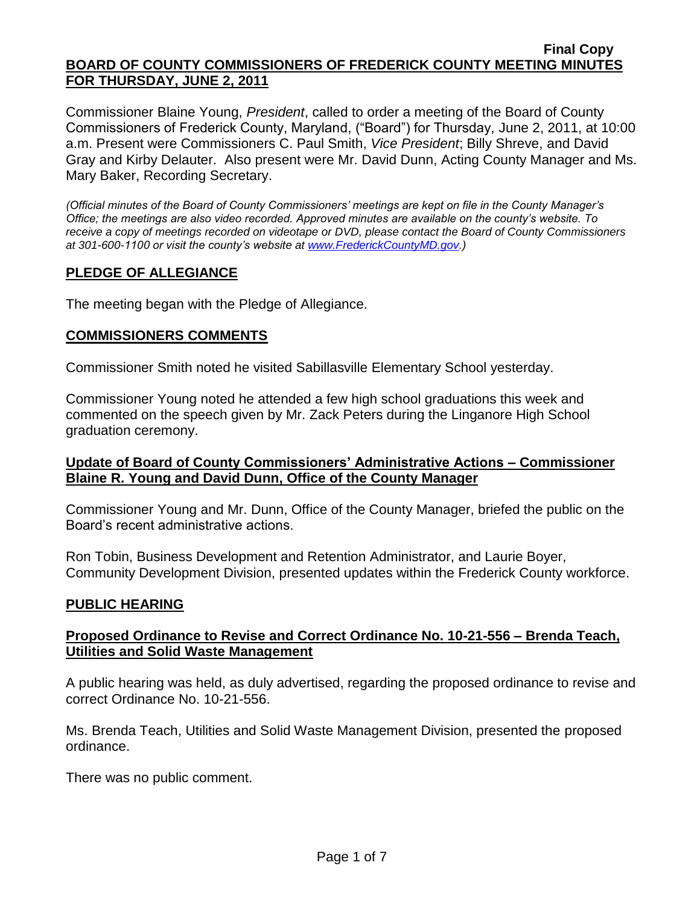Commissioner Blaine Young, *President*, called to order a meeting of the Board of County Commissioners of Frederick County, Maryland, ("Board") for Thursday, June 2, 2011, at 10:00 a.m. Present were Commissioners C. Paul Smith, *Vice President*; Billy Shreve, and David Gray and Kirby Delauter. Also present were Mr. David Dunn, Acting County Manager and Ms. Mary Baker, Recording Secretary.

*(Official minutes of the Board of County Commissioners' meetings are kept on file in the County Manager's Office; the meetings are also video recorded. Approved minutes are available on the county's website. To receive a copy of meetings recorded on videotape or DVD, please contact the Board of County Commissioners at 301-600-1100 or visit the county's website at [www.FrederickCountyMD.gov.](http://www.frederickcountymd.gov/))*

## **PLEDGE OF ALLEGIANCE**

The meeting began with the Pledge of Allegiance.

### **COMMISSIONERS COMMENTS**

Commissioner Smith noted he visited Sabillasville Elementary School yesterday.

Commissioner Young noted he attended a few high school graduations this week and commented on the speech given by Mr. Zack Peters during the Linganore High School graduation ceremony.

### **Update of Board of County Commissioners' Administrative Actions – Commissioner Blaine R. Young and David Dunn, Office of the County Manager**

Commissioner Young and Mr. Dunn, Office of the County Manager, briefed the public on the Board's recent administrative actions.

Ron Tobin, Business Development and Retention Administrator, and Laurie Boyer, Community Development Division, presented updates within the Frederick County workforce.

### **PUBLIC HEARING**

### **Proposed Ordinance to Revise and Correct Ordinance No. 10-21-556 – Brenda Teach, Utilities and Solid Waste Management**

A public hearing was held, as duly advertised, regarding the proposed ordinance to revise and correct Ordinance No. 10-21-556.

Ms. Brenda Teach, Utilities and Solid Waste Management Division, presented the proposed ordinance.

There was no public comment.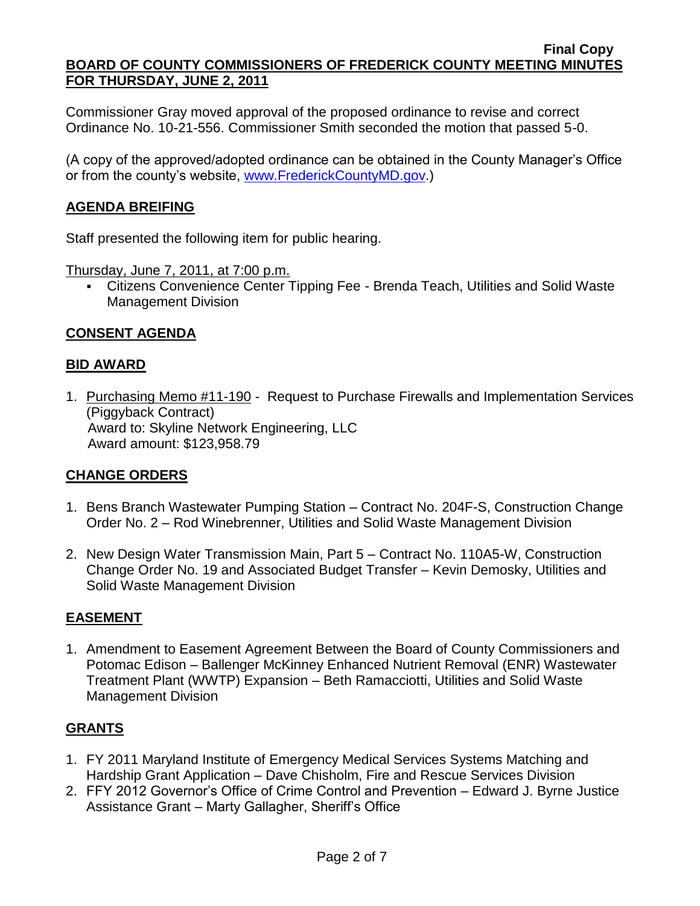Commissioner Gray moved approval of the proposed ordinance to revise and correct Ordinance No. 10-21-556. Commissioner Smith seconded the motion that passed 5-0.

(A copy of the approved/adopted ordinance can be obtained in the County Manager's Office or from the county's website, [www.FrederickCountyMD.gov.](http://www.frederickcountymd.gov/))

# **AGENDA BREIFING**

Staff presented the following item for public hearing.

Thursday, June 7, 2011, at 7:00 p.m.

 Citizens Convenience Center Tipping Fee - Brenda Teach, Utilities and Solid Waste Management Division

## **CONSENT AGENDA**

#### **BID AWARD**

1. Purchasing Memo #11-190 - Request to Purchase Firewalls and Implementation Services (Piggyback Contract) Award to: Skyline Network Engineering, LLC Award amount: \$123,958.79

### **CHANGE ORDERS**

- 1. Bens Branch Wastewater Pumping Station Contract No. 204F-S, Construction Change Order No. 2 – Rod Winebrenner, Utilities and Solid Waste Management Division
- 2. New Design Water Transmission Main, Part 5 Contract No. 110A5-W, Construction Change Order No. 19 and Associated Budget Transfer – Kevin Demosky, Utilities and Solid Waste Management Division

### **EASEMENT**

1. Amendment to Easement Agreement Between the Board of County Commissioners and Potomac Edison – Ballenger McKinney Enhanced Nutrient Removal (ENR) Wastewater Treatment Plant (WWTP) Expansion – Beth Ramacciotti, Utilities and Solid Waste Management Division

### **GRANTS**

- 1. FY 2011 Maryland Institute of Emergency Medical Services Systems Matching and Hardship Grant Application – Dave Chisholm, Fire and Rescue Services Division
- 2. FFY 2012 Governor's Office of Crime Control and Prevention Edward J. Byrne Justice Assistance Grant – Marty Gallagher, Sheriff's Office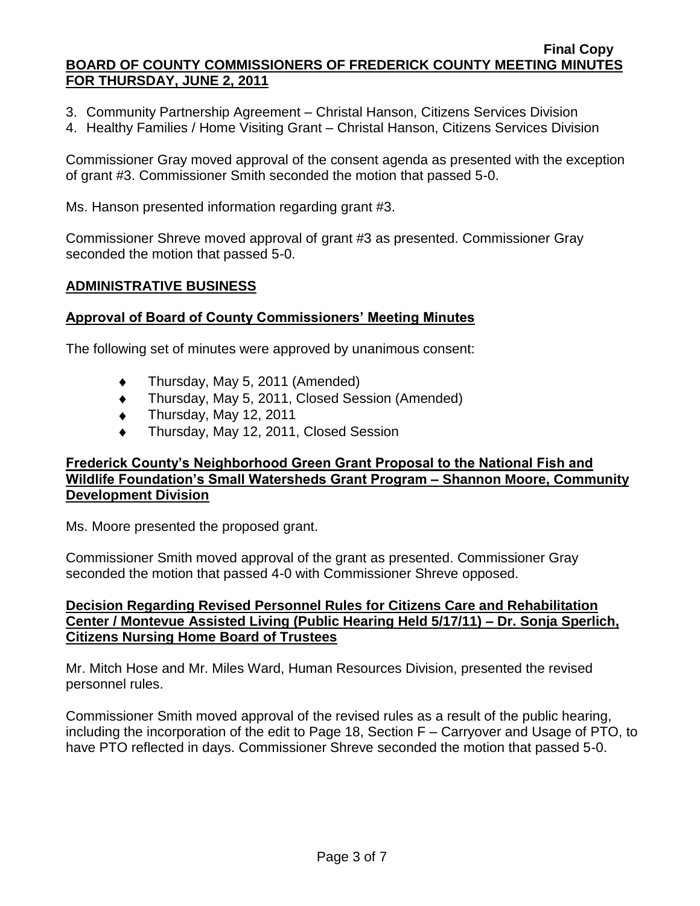- 3. Community Partnership Agreement Christal Hanson, Citizens Services Division
- 4. Healthy Families / Home Visiting Grant Christal Hanson, Citizens Services Division

Commissioner Gray moved approval of the consent agenda as presented with the exception of grant #3. Commissioner Smith seconded the motion that passed 5-0.

Ms. Hanson presented information regarding grant #3.

Commissioner Shreve moved approval of grant #3 as presented. Commissioner Gray seconded the motion that passed 5-0.

### **ADMINISTRATIVE BUSINESS**

### **Approval of Board of County Commissioners' Meeting Minutes**

The following set of minutes were approved by unanimous consent:

- Thursday, May 5, 2011 (Amended)  $\bullet$
- Thursday, May 5, 2011, Closed Session (Amended)  $\bullet$
- Thursday, May 12, 2011  $\bullet$
- Thursday, May 12, 2011, Closed Session

### **Frederick County's Neighborhood Green Grant Proposal to the National Fish and Wildlife Foundation's Small Watersheds Grant Program – Shannon Moore, Community Development Division**

Ms. Moore presented the proposed grant.

Commissioner Smith moved approval of the grant as presented. Commissioner Gray seconded the motion that passed 4-0 with Commissioner Shreve opposed.

## **Decision Regarding Revised Personnel Rules for Citizens Care and Rehabilitation Center / Montevue Assisted Living (Public Hearing Held 5/17/11) – Dr. Sonja Sperlich, Citizens Nursing Home Board of Trustees**

Mr. Mitch Hose and Mr. Miles Ward, Human Resources Division, presented the revised personnel rules.

Commissioner Smith moved approval of the revised rules as a result of the public hearing, including the incorporation of the edit to Page 18, Section F – Carryover and Usage of PTO, to have PTO reflected in days. Commissioner Shreve seconded the motion that passed 5-0.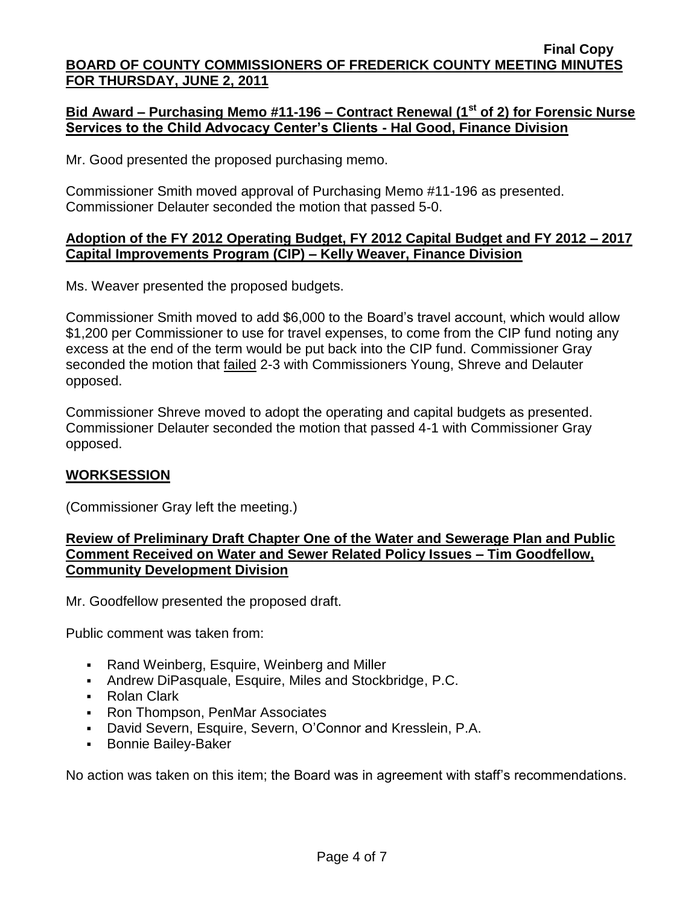## **Bid Award – Purchasing Memo #11-196 – Contract Renewal (1st of 2) for Forensic Nurse Services to the Child Advocacy Center's Clients - Hal Good, Finance Division**

Mr. Good presented the proposed purchasing memo.

Commissioner Smith moved approval of Purchasing Memo #11-196 as presented. Commissioner Delauter seconded the motion that passed 5-0.

### **Adoption of the FY 2012 Operating Budget, FY 2012 Capital Budget and FY 2012 – 2017 Capital Improvements Program (CIP) – Kelly Weaver, Finance Division**

Ms. Weaver presented the proposed budgets.

Commissioner Smith moved to add \$6,000 to the Board's travel account, which would allow \$1,200 per Commissioner to use for travel expenses, to come from the CIP fund noting any excess at the end of the term would be put back into the CIP fund. Commissioner Gray seconded the motion that failed 2-3 with Commissioners Young, Shreve and Delauter opposed.

Commissioner Shreve moved to adopt the operating and capital budgets as presented. Commissioner Delauter seconded the motion that passed 4-1 with Commissioner Gray opposed.

### **WORKSESSION**

(Commissioner Gray left the meeting.)

## **Review of Preliminary Draft Chapter One of the Water and Sewerage Plan and Public Comment Received on Water and Sewer Related Policy Issues – Tim Goodfellow, Community Development Division**

Mr. Goodfellow presented the proposed draft.

Public comment was taken from:

- Rand Weinberg, Esquire, Weinberg and Miller
- Andrew DiPasquale, Esquire, Miles and Stockbridge, P.C.
- Rolan Clark
- Ron Thompson, PenMar Associates
- David Severn, Esquire, Severn, O'Connor and Kresslein, P.A.
- **Bonnie Bailey-Baker**

No action was taken on this item; the Board was in agreement with staff's recommendations.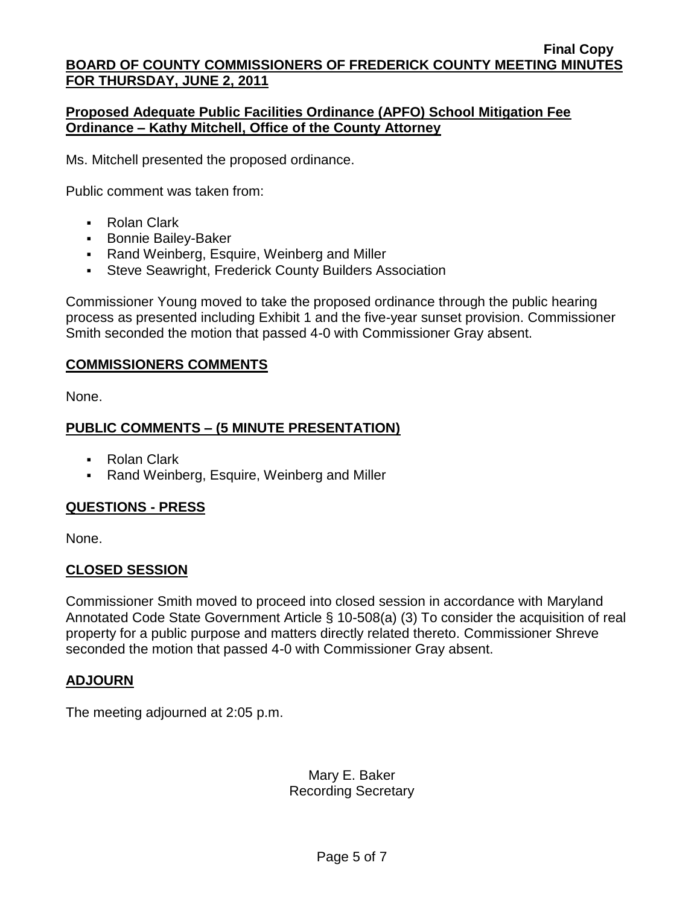## **Proposed Adequate Public Facilities Ordinance (APFO) School Mitigation Fee Ordinance – Kathy Mitchell, Office of the County Attorney**

Ms. Mitchell presented the proposed ordinance.

Public comment was taken from:

- Rolan Clark
- **Bonnie Bailey-Baker**
- Rand Weinberg, Esquire, Weinberg and Miller
- Steve Seawright, Frederick County Builders Association

Commissioner Young moved to take the proposed ordinance through the public hearing process as presented including Exhibit 1 and the five-year sunset provision. Commissioner Smith seconded the motion that passed 4-0 with Commissioner Gray absent.

### **COMMISSIONERS COMMENTS**

None.

## **PUBLIC COMMENTS – (5 MINUTE PRESENTATION)**

- Rolan Clark
- Rand Weinberg, Esquire, Weinberg and Miller

# **QUESTIONS - PRESS**

None.

### **CLOSED SESSION**

Commissioner Smith moved to proceed into closed session in accordance with Maryland Annotated Code State Government Article § 10-508(a) (3) To consider the acquisition of real property for a public purpose and matters directly related thereto. Commissioner Shreve seconded the motion that passed 4-0 with Commissioner Gray absent.

### **ADJOURN**

The meeting adjourned at 2:05 p.m.

# Mary E. Baker Recording Secretary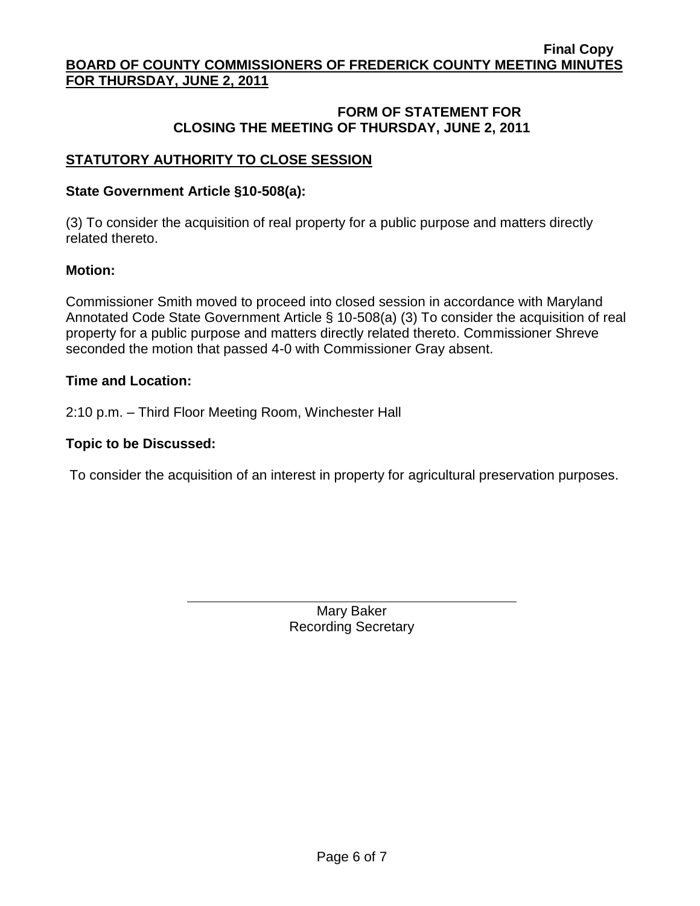## **FORM OF STATEMENT FOR CLOSING THE MEETING OF THURSDAY, JUNE 2, 2011**

## **STATUTORY AUTHORITY TO CLOSE SESSION**

#### **State Government Article §10-508(a):**

(3) To consider the acquisition of real property for a public purpose and matters directly related thereto.

#### **Motion:**

Commissioner Smith moved to proceed into closed session in accordance with Maryland Annotated Code State Government Article § 10-508(a) (3) To consider the acquisition of real property for a public purpose and matters directly related thereto. Commissioner Shreve seconded the motion that passed 4-0 with Commissioner Gray absent.

#### **Time and Location:**

2:10 p.m. – Third Floor Meeting Room, Winchester Hall

#### **Topic to be Discussed:**

To consider the acquisition of an interest in property for agricultural preservation purposes.

Mary Baker Recording Secretary